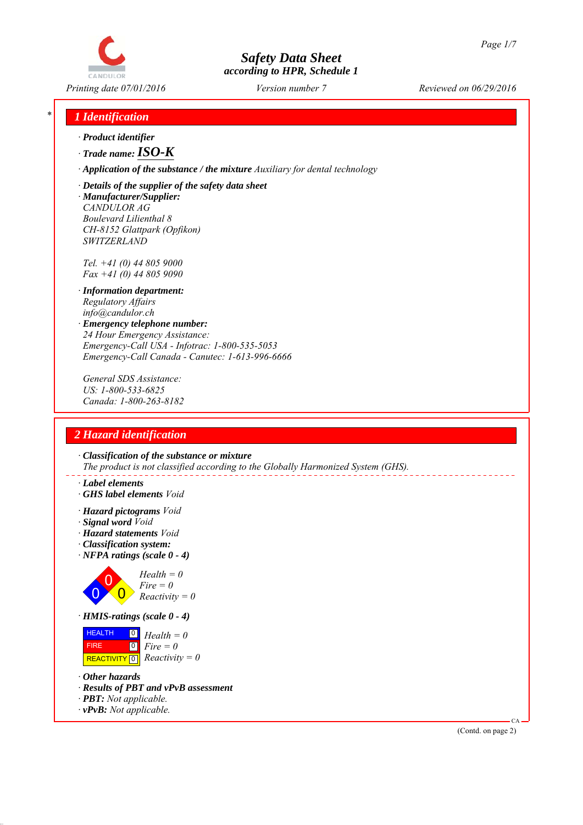

*Printing date 07/01/2016 Reviewed on 06/29/2016 Version number 7*

## *\* 1 Identification*

- *∙ Product identifier*
- *∙ Trade name:ISO-K*
- *∙ Application of the substance / the mixture Auxiliary for dental technology*
- *∙ Details of the supplier of the safety data sheet*
- *∙ Manufacturer/Supplier: CANDULOR AG Boulevard Lilienthal 8 CH-8152 Glattpark (Opfikon) SWITZERLAND*

*Tel. +41 (0) 44 805 9000 Fax +41 (0) 44 805 9090*

- *∙ Information department: Regulatory Affairs info@candulor.ch*
- *∙ Emergency telephone number: 24 Hour Emergency Assistance: Emergency-Call USA - Infotrac: 1-800-535-5053 Emergency-Call Canada - Canutec: 1-613-996-6666*

*General SDS Assistance: US: 1-800-533-6825 Canada: 1-800-263-8182*

## *2 Hazard identification*

*∙ Classification of the substance or mixture The product is not classified according to the Globally Harmonized System (GHS).*

- *∙ Label elements*
- *∙ GHS label elements Void*
- *∙ Hazard pictograms Void*
- *∙ Signal word Void*
- *∙ Hazard statements Void*
- *∙ Classification system:*
- *∙ NFPA ratings (scale 0 4)*



| <b>HEALTH</b> | $\Box$ Health = 0                                    |
|---------------|------------------------------------------------------|
| <b>FIRE</b>   | $\begin{bmatrix} 0 \\ \hline \end{bmatrix}$ Fire = 0 |
|               | REACTIVITY $\boxed{0}$ <i>Reactivity</i> = 0         |

- *∙ Other hazards*
- *∙ Results of PBT and vPvB assessment*
- *∙ PBT: Not applicable.*
- *∙ vPvB: Not applicable.*

(Contd. on page 2)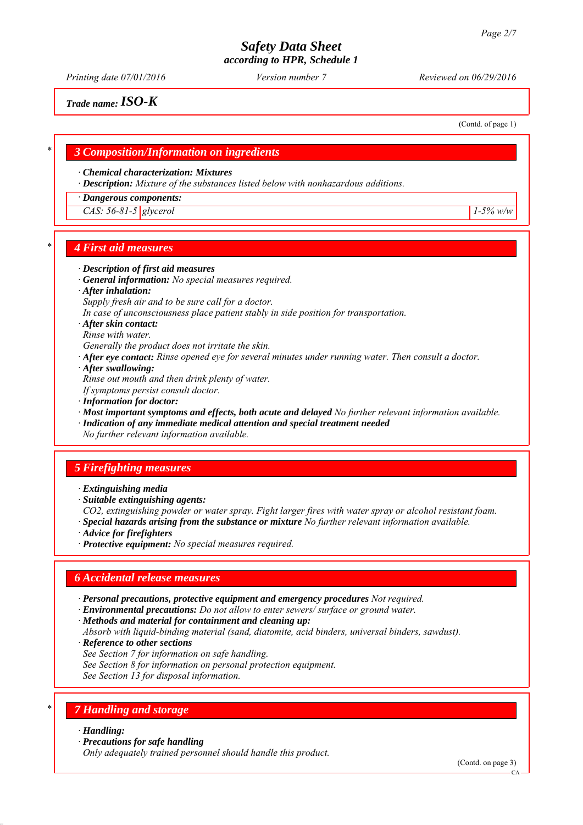*Printing date 07/01/2016 Reviewed on 06/29/2016 Version number 7*

(Contd. of page 1)

*Trade name:ISO-K*

*\* 3 Composition/Information on ingredients*

#### *∙ Chemical characterization: Mixtures*

*∙ Description: Mixture of the substances listed below with nonhazardous additions.*

#### *∙ Dangerous components:*

*CAS: 56-81-5 glycerol 1-5% w/w*

### *\* 4 First aid measures*

#### *∙ Description of first aid measures*

- *∙ General information: No special measures required.*
- *∙ After inhalation:*
- *Supply fresh air and to be sure call for a doctor.*
- *In case of unconsciousness place patient stably in side position for transportation.*
- *∙ After skin contact:*
- *Rinse with water.*
- *Generally the product does not irritate the skin.*
- *∙ After eye contact: Rinse opened eye for several minutes under running water. Then consult a doctor.*
- *∙ After swallowing:*

*Rinse out mouth and then drink plenty of water.*

- *If symptoms persist consult doctor.*
- *∙ Information for doctor:*
- *∙ Most important symptoms and effects, both acute and delayed No further relevant information available.*
- *∙ Indication of any immediate medical attention and special treatment needed*

*No further relevant information available.*

## *5 Firefighting measures*

- *∙ Extinguishing media*
- *∙ Suitable extinguishing agents:*
- *CO2, extinguishing powder or water spray. Fight larger fires with water spray or alcohol resistant foam.*
- *∙ Special hazards arising from the substance or mixture No further relevant information available.*
- *∙ Advice for firefighters*
- *∙ Protective equipment: No special measures required.*

## *6 Accidental release measures*

- *∙ Personal precautions, protective equipment and emergency procedures Not required.*
- *∙ Environmental precautions: Do not allow to enter sewers/ surface or ground water.*
- *∙ Methods and material for containment and cleaning up:*
- *Absorb with liquid-binding material (sand, diatomite, acid binders, universal binders, sawdust).*
- *∙ Reference to other sections*
- *See Section 7 for information on safe handling.*
- *See Section 8 for information on personal protection equipment.*
- *See Section 13 for disposal information.*

## *\* 7 Handling and storage*

- *∙ Handling:*
- *∙ Precautions for safe handling*
- *Only adequately trained personnel should handle this product.*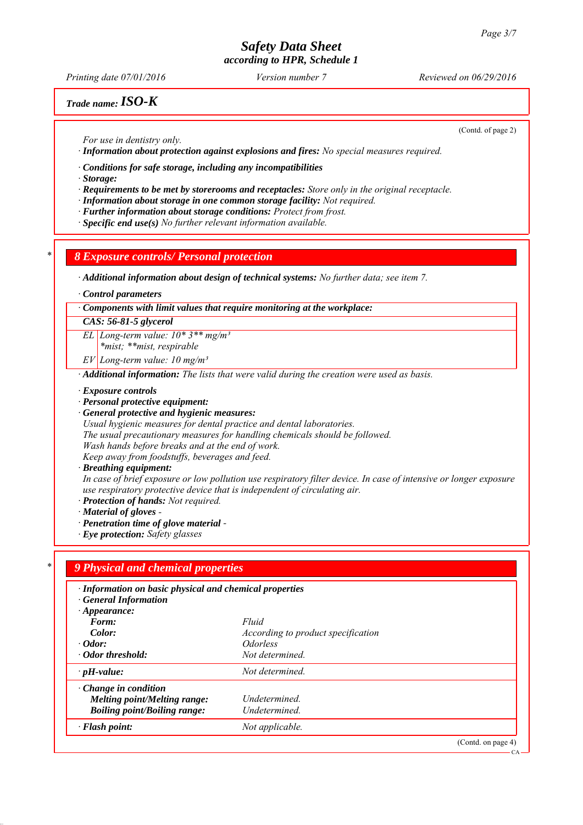*Printing date 07/01/2016 Reviewed on 06/29/2016 Version number 7*

## *Trade name:ISO-K*

(Contd. of page 2)

*For use in dentistry only.*

*∙ Information about protection against explosions and fires: No special measures required.*

*∙ Conditions for safe storage, including any incompatibilities*

*∙ Storage:*

- *∙ Requirements to be met by storerooms and receptacles: Store only in the original receptacle.*
- *∙ Information about storage in one common storage facility: Not required.*
- *∙ Further information about storage conditions: Protect from frost.*
- *∙ Specific end use(s) No further relevant information available.*

### *\* 8 Exposure controls/ Personal protection*

*∙ Additional information about design of technical systems: No further data; see item 7.*

*∙ Control parameters*

*∙ Components with limit values that require monitoring at the workplace:*

#### *CAS: 56-81-5 glycerol*

*EL Long-term value: 10\* 3\*\* mg/m³*

*\*mist; \*\*mist, respirable*

*EV Long-term value: 10 mg/m³*

*∙ Additional information: The lists that were valid during the creation were used as basis.*

#### *∙ Exposure controls*

*∙ Personal protective equipment:*

*∙ General protective and hygienic measures:*

*Usual hygienic measures for dental practice and dental laboratories.*

*The usual precautionary measures for handling chemicals should be followed.*

*Wash hands before breaks and at the end of work.*

*Keep away from foodstuffs, beverages and feed.*

*∙ Breathing equipment:*

*In case of brief exposure or low pollution use respiratory filter device. In case of intensive or longer exposure use respiratory protective device that is independent of circulating air.*

*∙ Protection of hands: Not required.*

*∙ Material of gloves -* 

*∙ Penetration time of glove material -* 

*∙ Eye protection: Safety glasses*

### *\* 9 Physical and chemical properties*

- *∙ Information on basic physical and chemical properties*
- *∙ General Information*
- *∙ Appearance:*
- *Form: Fluid Color: According to product specification*
- *∙ Odor: Odorless*
- *∙ Odor threshold: Not determined.*
- *∙ pH-value: Not determined.*
- *∙ Change in condition*
- *Melting point/Melting range: Undetermined.*
- *Boiling point/Boiling range: Undetermined.*
- *∙ Flash point: Not applicable.*

(Contd. on page 4)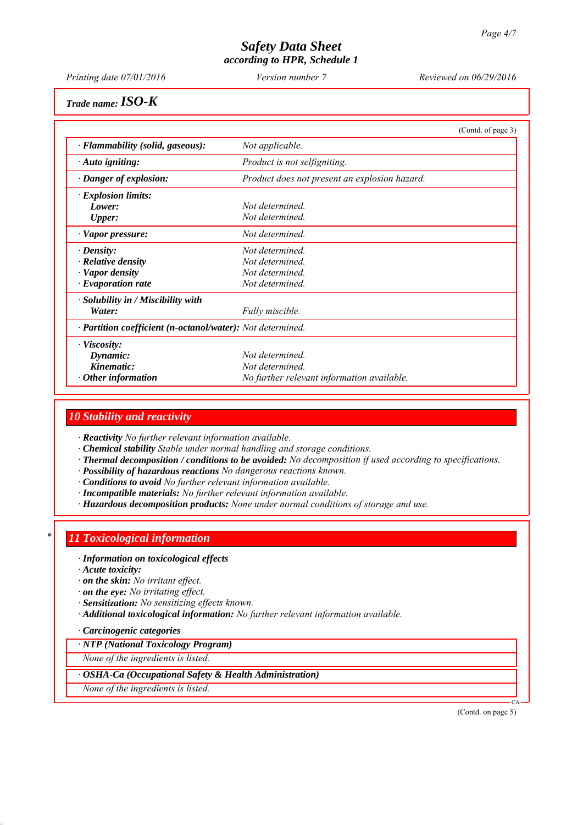*Printing date 07/01/2016 Reviewed on 06/29/2016 Version number 7*

*Trade name:ISO-K*

|                                                            |                                               | (Contd. of page 3) |
|------------------------------------------------------------|-----------------------------------------------|--------------------|
| · Flammability (solid, gaseous):                           | Not applicable.                               |                    |
| $\cdot$ Auto igniting:                                     | Product is not selfigniting.                  |                    |
| $\cdot$ Danger of explosion:                               | Product does not present an explosion hazard. |                    |
| $\cdot$ Explosion limits:                                  |                                               |                    |
| Lower:                                                     | Not determined.                               |                    |
| <b>Upper:</b>                                              | Not determined.                               |                    |
| $\cdot$ Vapor pressure:                                    | Not determined.                               |                    |
| $\cdot$ Density:                                           | Not determined.                               |                    |
| $\cdot$ Relative density                                   | Not determined.                               |                    |
| · Vapor density                                            | Not determined.                               |                    |
| $\cdot$ Evaporation rate                                   | Not determined.                               |                    |
| $\cdot$ Solubility in / Miscibility with                   |                                               |                    |
| Water:                                                     | Fully miscible.                               |                    |
| · Partition coefficient (n-octanol/water): Not determined. |                                               |                    |
| $\cdot$ Viscosity:                                         |                                               |                    |
| Dynamic:                                                   | Not determined                                |                    |
| Kinematic:                                                 | Not determined.                               |                    |
| $\cdot$ Other information                                  | No further relevant information available.    |                    |

### *10 Stability and reactivity*

*∙ Reactivity No further relevant information available.*

- *∙ Chemical stability Stable under normal handling and storage conditions.*
- *∙ Thermal decomposition / conditions to be avoided: No decomposition if used according to specifications.*
- *∙ Possibility of hazardous reactions No dangerous reactions known.*
- *∙ Conditions to avoid No further relevant information available.*
- *∙ Incompatible materials: No further relevant information available.*
- *∙ Hazardous decomposition products: None under normal conditions of storage and use.*

### *\* 11 Toxicological information*

#### *∙ Information on toxicological effects*

- *∙ Acute toxicity:*
- *∙ on the skin: No irritant effect.*
- *∙ on the eye: No irritating effect.*
- *∙ Sensitization: No sensitizing effects known.*
- *∙ Additional toxicological information: No further relevant information available.*

#### *∙ Carcinogenic categories*

#### *∙ NTP (National Toxicology Program)*

*None of the ingredients is listed.*

#### *∙ OSHA-Ca (Occupational Safety & Health Administration)*

*None of the ingredients is listed.*

(Contd. on page 5)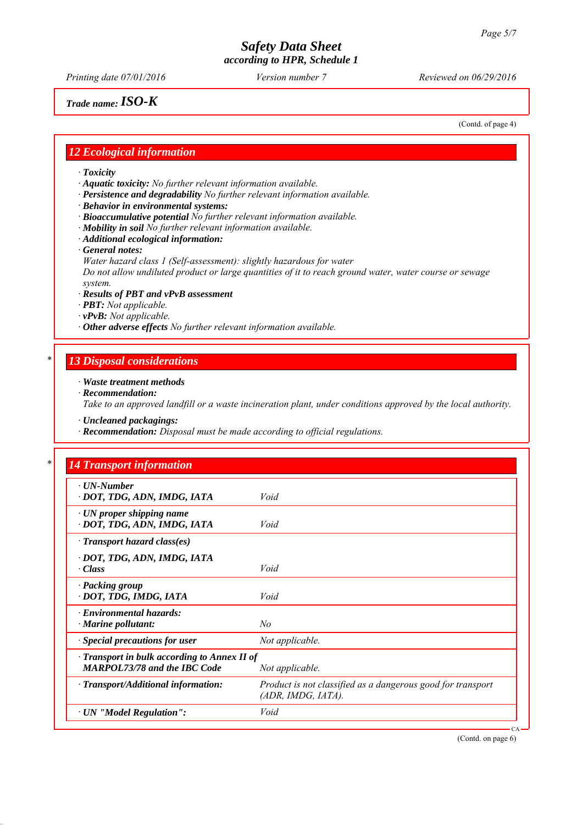*Printing date 07/01/2016 Reviewed on 06/29/2016 Version number 7*

*Trade name:ISO-K*

(Contd. of page 4)

## *12 Ecological information*

*∙ Toxicity*

*∙ Aquatic toxicity: No further relevant information available.*

- *∙ Persistence and degradability No further relevant information available.*
- *∙ Behavior in environmental systems:*
- *∙ Bioaccumulative potential No further relevant information available.*
- *∙ Mobility in soil No further relevant information available.*
- *∙ Additional ecological information:*
- *∙ General notes:*

*Water hazard class 1 (Self-assessment): slightly hazardous for water*

*Do not allow undiluted product or large quantities of it to reach ground water, water course or sewage system.*

- *∙ Results of PBT and vPvB assessment*
- *∙ PBT: Not applicable.*
- *∙ vPvB: Not applicable.*
- *∙ Other adverse effects No further relevant information available.*

## *\* 13 Disposal considerations*

- *∙ Waste treatment methods*
- *∙ Recommendation:*

*Take to an approved landfill or a waste incineration plant, under conditions approved by the local authority.*

*∙ Uncleaned packagings:*

*∙ Recommendation: Disposal must be made according to official regulations.*

| $\cdot$ UN-Number<br>· DOT, TDG, ADN, IMDG, IATA               | Void                                                        |
|----------------------------------------------------------------|-------------------------------------------------------------|
|                                                                |                                                             |
| $\cdot$ UN proper shipping name<br>· DOT, TDG, ADN, IMDG, IATA | Void                                                        |
| · Transport hazard class(es)                                   |                                                             |
| · DOT, TDG, ADN, IMDG, IATA                                    |                                                             |
| $\cdot Class$                                                  | Void                                                        |
| · Packing group                                                |                                                             |
| · DOT, TDG, IMDG, IATA                                         | Void                                                        |
| $\cdot$ Environmental hazards:                                 |                                                             |
| $\cdot$ Marine pollutant:                                      | No                                                          |
| · Special precautions for user                                 | Not applicable.                                             |
| $\cdot$ Transport in bulk according to Annex II of             |                                                             |
| <b>MARPOL73/78 and the IBC Code</b>                            | Not applicable.                                             |
| · Transport/Additional information:                            | Product is not classified as a dangerous good for transport |
|                                                                | $(ADR, IMDG, IATA)$ .                                       |
| · UN "Model Regulation":                                       | Void                                                        |

(Contd. on page 6)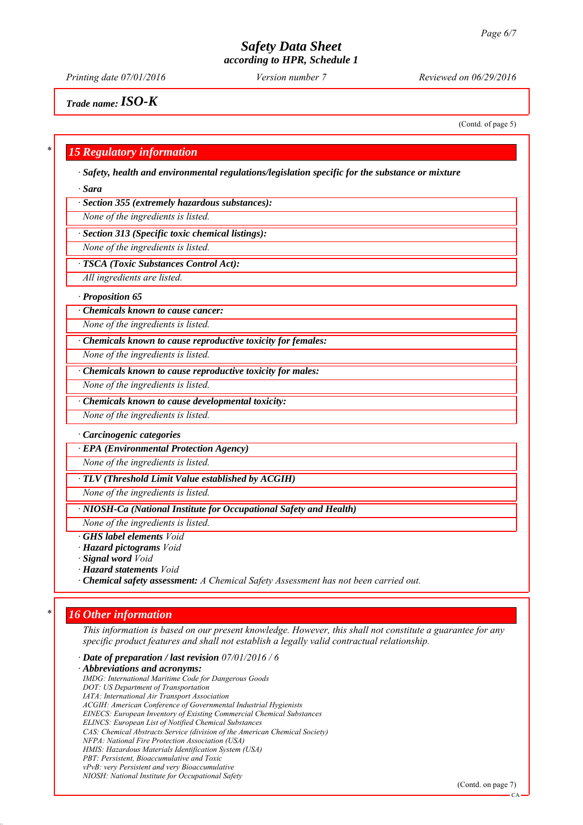*Printing date 07/01/2016 Reviewed on 06/29/2016 Version number 7*

*Trade name:ISO-K*

(Contd. of page 5)

### *\* 15 Regulatory information*

*∙ Safety, health and environmental regulations/legislation specific for the substance or mixture*

*∙ Sara*

*∙ Section 355 (extremely hazardous substances):*

*None of the ingredients is listed.*

*∙ Section 313 (Specific toxic chemical listings):*

*None of the ingredients is listed.*

*∙ TSCA (Toxic Substances Control Act):*

*All ingredients are listed.*

*∙ Proposition 65*

*∙ Chemicals known to cause cancer:*

*None of the ingredients is listed.*

*∙ Chemicals known to cause reproductive toxicity for females:*

*None of the ingredients is listed.*

*∙ Chemicals known to cause reproductive toxicity for males:*

*None of the ingredients is listed.*

*∙ Chemicals known to cause developmental toxicity:*

*None of the ingredients is listed.*

#### *∙ Carcinogenic categories*

*∙ EPA (Environmental Protection Agency)*

*None of the ingredients is listed.*

*∙ TLV (Threshold Limit Value established by ACGIH)*

*None of the ingredients is listed.*

*∙ NIOSH-Ca (National Institute for Occupational Safety and Health)*

*None of the ingredients is listed.*

*∙ GHS label elements Void*

*∙ Hazard pictograms Void*

*∙ Signal word Void*

*∙ Hazard statements Void*

*∙ Chemical safety assessment: A Chemical Safety Assessment has not been carried out.*

## *\* 16 Other information*

*This information is based on our present knowledge. However, this shall not constitute a guarantee for any specific product features and shall not establish a legally valid contractual relationship.*

*∙ Date of preparation / last revision 07/01/2016 / 6*

*∙ Abbreviations and acronyms:*

*IMDG: International Maritime Code for Dangerous Goods DOT: US Department of Transportation*

*IATA: International Air Transport Association*

*ACGIH: American Conference of Governmental Industrial Hygienists*

*EINECS: European Inventory of Existing Commercial Chemical Substances ELINCS: European List of Notified Chemical Substances*

*CAS: Chemical Abstracts Service (division of the American Chemical Society)*

*NFPA: National Fire Protection Association (USA)*

*HMIS: Hazardous Materials Identification System (USA)*

*PBT: Persistent, Bioaccumulative and Toxic*

*vPvB: very Persistent and very Bioaccumulative*

*NIOSH: National Institute for Occupational Safety*